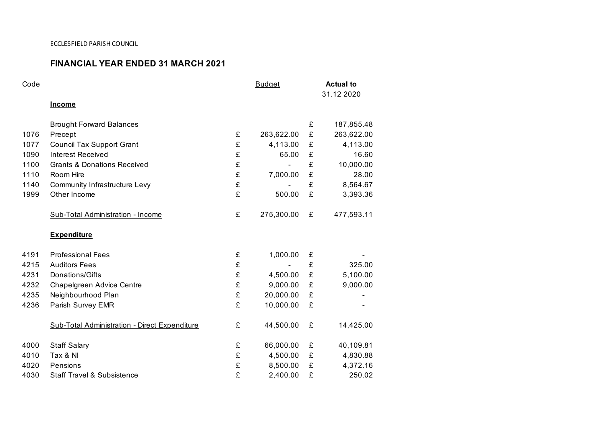## **FINANCIAL YEAR ENDED 31 MARCH 2021**

| Code |                                               |   | <b>Budget</b> |   | <b>Actual to</b><br>31.12 2020 |  |
|------|-----------------------------------------------|---|---------------|---|--------------------------------|--|
|      | <b>Income</b>                                 |   |               |   |                                |  |
|      | <b>Brought Forward Balances</b>               |   |               | £ | 187,855.48                     |  |
| 1076 | Precept                                       | £ | 263,622.00    | £ | 263,622.00                     |  |
| 1077 | <b>Council Tax Support Grant</b>              | £ | 4,113.00      | £ | 4,113.00                       |  |
| 1090 | <b>Interest Received</b>                      | £ | 65.00         | £ | 16.60                          |  |
| 1100 | <b>Grants &amp; Donations Received</b>        | £ |               | £ | 10,000.00                      |  |
| 1110 | Room Hire                                     | £ | 7,000.00      | £ | 28.00                          |  |
| 1140 | <b>Community Infrastructure Levy</b>          | £ |               | £ | 8,564.67                       |  |
| 1999 | Other Income                                  | £ | 500.00        | £ | 3,393.36                       |  |
|      | Sub-Total Administration - Income             | £ | 275,300.00    | £ | 477,593.11                     |  |
|      | <b>Expenditure</b>                            |   |               |   |                                |  |
| 4191 | <b>Professional Fees</b>                      | £ | 1,000.00      | £ |                                |  |
| 4215 | <b>Auditors Fees</b>                          | £ |               | £ | 325.00                         |  |
| 4231 | Donations/Gifts                               | £ | 4,500.00      | £ | 5,100.00                       |  |
| 4232 | Chapelgreen Advice Centre                     | £ | 9,000.00      | £ | 9,000.00                       |  |
| 4235 | Neighbourhood Plan                            | £ | 20,000.00     | £ |                                |  |
| 4236 | Parish Survey EMR                             | £ | 10,000.00     | £ |                                |  |
|      | Sub-Total Administration - Direct Expenditure | £ | 44,500.00     | £ | 14,425.00                      |  |
| 4000 | <b>Staff Salary</b>                           | £ | 66,000.00     | £ | 40,109.81                      |  |
| 4010 | Tax & NI                                      | £ | 4,500.00      | £ | 4,830.88                       |  |
| 4020 | Pensions                                      | £ | 8,500.00      | £ | 4,372.16                       |  |
| 4030 | <b>Staff Travel &amp; Subsistence</b>         | £ | 2,400.00      | £ | 250.02                         |  |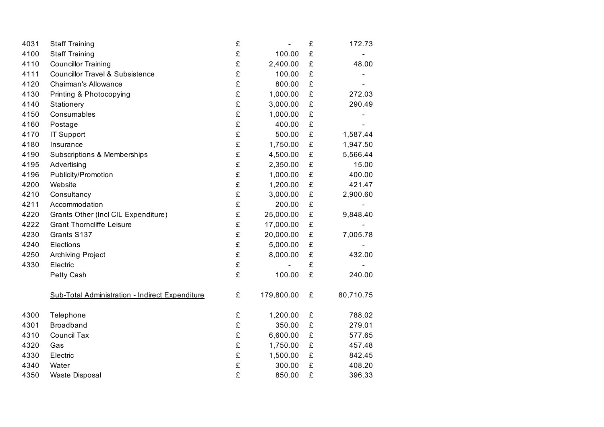| 4031 | <b>Staff Training</b>                                  | £ |            | £ | 172.73    |
|------|--------------------------------------------------------|---|------------|---|-----------|
| 4100 | <b>Staff Training</b>                                  | £ | 100.00     | £ |           |
| 4110 | <b>Councillor Training</b>                             | £ | 2,400.00   | £ | 48.00     |
| 4111 | <b>Councillor Travel &amp; Subsistence</b>             | £ | 100.00     | £ |           |
| 4120 | <b>Chairman's Allowance</b>                            | £ | 800.00     | £ |           |
| 4130 | Printing & Photocopying                                | £ | 1,000.00   | £ | 272.03    |
| 4140 | Stationery                                             | £ | 3,000.00   | £ | 290.49    |
| 4150 | Consumables                                            | £ | 1,000.00   | £ |           |
| 4160 | Postage                                                | £ | 400.00     | £ |           |
| 4170 | IT Support                                             | £ | 500.00     | £ | 1,587.44  |
| 4180 | Insurance                                              | £ | 1,750.00   | £ | 1,947.50  |
| 4190 | Subscriptions & Memberships                            | £ | 4,500.00   | £ | 5,566.44  |
| 4195 | Advertising                                            | £ | 2,350.00   | £ | 15.00     |
| 4196 | Publicity/Promotion                                    | £ | 1,000.00   | £ | 400.00    |
| 4200 | Website                                                | £ | 1,200.00   | £ | 421.47    |
| 4210 | Consultancy                                            | £ | 3,000.00   | £ | 2,900.60  |
| 4211 | Accommodation                                          | £ | 200.00     | £ |           |
| 4220 | Grants Other (Incl CIL Expenditure)                    | £ | 25,000.00  | £ | 9,848.40  |
| 4222 | <b>Grant Thorncliffe Leisure</b>                       | £ | 17,000.00  | £ |           |
| 4230 | Grants S137                                            | £ | 20,000.00  | £ | 7,005.78  |
| 4240 | Elections                                              | £ | 5,000.00   | £ |           |
| 4250 | Archiving Project                                      | £ | 8,000.00   | £ | 432.00    |
| 4330 | Electric                                               | £ |            | £ |           |
|      | Petty Cash                                             | £ | 100.00     | £ | 240.00    |
|      | <b>Sub-Total Administration - Indirect Expenditure</b> | £ | 179,800.00 | £ | 80,710.75 |
| 4300 | Telephone                                              | £ | 1,200.00   | £ | 788.02    |
| 4301 | <b>Broadband</b>                                       | £ | 350.00     | £ | 279.01    |
| 4310 | <b>Council Tax</b>                                     | £ | 6,600.00   | £ | 577.65    |
| 4320 | Gas                                                    | £ | 1,750.00   | £ | 457.48    |
| 4330 | Electric                                               | £ | 1,500.00   | £ | 842.45    |
| 4340 | Water                                                  | £ | 300.00     | £ | 408.20    |
| 4350 | <b>Waste Disposal</b>                                  | £ | 850.00     | £ | 396.33    |